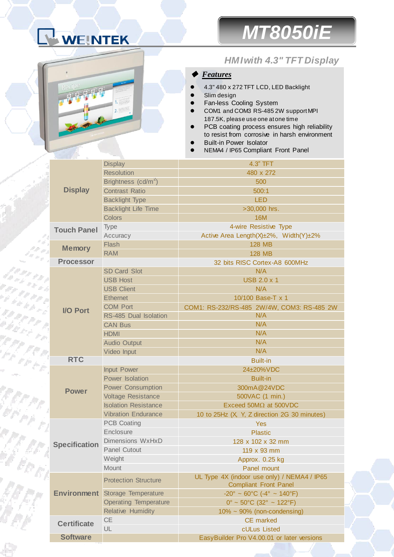



## *HMI with 4.3" TFT Display*

## ◆ *Features*

- 4.3" 480 x 272 TFT LCD, LED Backlight
- Slim design
- Fan-less Cooling System
- COM1 and COM3 RS-485 2W support MPI 187.5K, please use one at one time
- PCB coating process ensures high reliability to resist from corrosive in harsh environment
- Built-in Power Isolator
- NEMA4 / IP65 Compliant Front Panel

|                      | <b>Display</b>                  | 4.3" TFT                                      |
|----------------------|---------------------------------|-----------------------------------------------|
| <b>Display</b>       | <b>Resolution</b>               | 480 x 272                                     |
|                      | Brightness (cd/m <sup>2</sup> ) | 500                                           |
|                      | <b>Contrast Ratio</b>           | 500:1                                         |
|                      | <b>Backlight Type</b>           | <b>LED</b>                                    |
|                      | <b>Backlight Life Time</b>      | >30,000 hrs.                                  |
| <b>Touch Panel</b>   | <b>Colors</b>                   | <b>16M</b>                                    |
|                      | Type                            | 4-wire Resistive Type                         |
| <b>Memory</b>        | Accuracy                        | Active Area Length(X)±2%, Width(Y)±2%         |
|                      | Flash                           | <b>128 MB</b>                                 |
|                      | <b>RAM</b>                      | <b>128 MB</b>                                 |
| <b>Processor</b>     |                                 | 32 bits RISC Cortex-A8 600MHz                 |
|                      | <b>SD Card Slot</b>             | N/A                                           |
| <b>I/O Port</b>      | <b>USB Host</b>                 | <b>USB 2.0 x 1</b>                            |
|                      | <b>USB Client</b>               | N/A                                           |
|                      | <b>Ethernet</b>                 | 10/100 Base-T x 1                             |
|                      | <b>COM Port</b>                 | COM1: RS-232/RS-485 2W/4W, COM3: RS-485 2W    |
|                      | RS-485 Dual Isolation           | N/A                                           |
|                      | <b>CAN Bus</b>                  | N/A                                           |
|                      | <b>HDMI</b>                     | N/A                                           |
|                      | <b>Audio Output</b>             | N/A                                           |
|                      | Video Input                     | N/A                                           |
| <b>RTC</b>           |                                 | <b>Built-in</b>                               |
|                      | Input Power                     | 24±20%VDC                                     |
| <b>Power</b>         | Power Isolation                 | <b>Built-in</b>                               |
|                      | <b>Power Consumption</b>        | 300mA@24VDC                                   |
|                      | <b>Voltage Resistance</b>       | 500VAC (1 min.)                               |
|                      | <b>Isolation Resistance</b>     | Exceed $50M\Omega$ at $500VDC$                |
| <b>Specification</b> | <b>Vibration Endurance</b>      | 10 to 25Hz (X, Y, Z direction 2G 30 minutes)  |
|                      | <b>PCB Coating</b>              | Yes                                           |
|                      | Enclosure                       | <b>Plastic</b>                                |
|                      | Dimensions WxHxD                | 128 x 102 x 32 mm                             |
|                      | <b>Panel Cutout</b>             | 119 x 93 mm                                   |
|                      | Weight                          | Approx. 0.25 kg                               |
| <b>Environment</b>   | <b>Mount</b>                    | Panel mount                                   |
|                      | <b>Protection Structure</b>     | UL Type 4X (indoor use only) / NEMA4 / IP65   |
|                      |                                 | <b>Compliant Front Panel</b>                  |
|                      | Storage Temperature             | $-20^{\circ} \sim 60^{\circ}$ C (-4° ~ 140°F) |
|                      | <b>Operating Temperature</b>    | $0^{\circ}$ ~ 50°C (32° ~ 122°F)              |
|                      | <b>Relative Humidity</b>        | $10\% \sim 90\%$ (non-condensing)             |
| <b>Certificate</b>   | <b>CE</b>                       | <b>CE</b> marked                              |
|                      | UL                              | cULus Listed                                  |
| <b>Software</b>      |                                 | EasyBuilder Pro V4.00.01 or later versions    |
|                      |                                 |                                               |